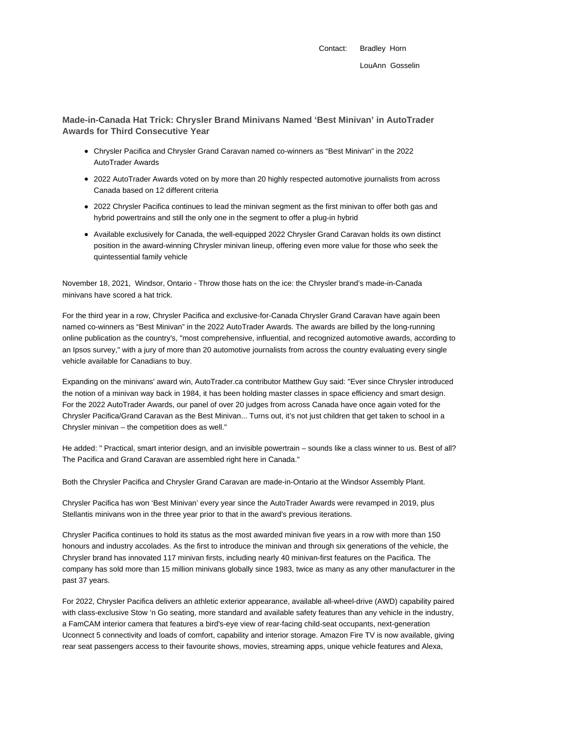Contact: Bradley Horn

**Made-in-Canada Hat Trick: Chrysler Brand Minivans Named 'Best Minivan' in AutoTrader Awards for Third Consecutive Year**

- Chrysler Pacifica and Chrysler Grand Caravan named co-winners as "Best Minivan" in the 2022 AutoTrader Awards
- 2022 AutoTrader Awards voted on by more than 20 highly respected automotive journalists from across Canada based on 12 different criteria
- 2022 Chrysler Pacifica continues to lead the minivan segment as the first minivan to offer both gas and hybrid powertrains and still the only one in the segment to offer a plug-in hybrid
- Available exclusively for Canada, the well-equipped 2022 Chrysler Grand Caravan holds its own distinct position in the award-winning Chrysler minivan lineup, offering even more value for those who seek the quintessential family vehicle

November 18, 2021, Windsor, Ontario - Throw those hats on the ice: the Chrysler brand's made-in-Canada minivans have scored a hat trick.

For the third year in a row, Chrysler Pacifica and exclusive-for-Canada Chrysler Grand Caravan have again been named co-winners as "Best Minivan" in the 2022 AutoTrader Awards. The awards are billed by the long-running online publication as the country's, "most comprehensive, influential, and recognized automotive awards, according to an Ipsos survey," with a jury of more than 20 automotive journalists from across the country evaluating every single vehicle available for Canadians to buy.

Expanding on the minivans' award win, AutoTrader.ca contributor Matthew Guy said: "Ever since Chrysler introduced the notion of a minivan way back in 1984, it has been holding master classes in space efficiency and smart design. For the 2022 AutoTrader Awards, our panel of over 20 judges from across Canada have once again voted for the Chrysler Pacifica/Grand Caravan as the Best Minivan... Turns out, it's not just children that get taken to school in a Chrysler minivan – the competition does as well."

He added: " Practical, smart interior design, and an invisible powertrain – sounds like a class winner to us. Best of all? The Pacifica and Grand Caravan are assembled right here in Canada."

Both the Chrysler Pacifica and Chrysler Grand Caravan are made-in-Ontario at the Windsor Assembly Plant.

Chrysler Pacifica has won 'Best Minivan' every year since the AutoTrader Awards were revamped in 2019, plus Stellantis minivans won in the three year prior to that in the award's previous iterations.

Chrysler Pacifica continues to hold its status as the most awarded minivan five years in a row with more than 150 honours and industry accolades. As the first to introduce the minivan and through six generations of the vehicle, the Chrysler brand has innovated 117 minivan firsts, including nearly 40 minivan-first features on the Pacifica. The company has sold more than 15 million minivans globally since 1983, twice as many as any other manufacturer in the past 37 years.

For 2022, Chrysler Pacifica delivers an athletic exterior appearance, available all-wheel-drive (AWD) capability paired with class-exclusive Stow 'n Go seating, more standard and available safety features than any vehicle in the industry, a FamCAM interior camera that features a bird's-eye view of rear-facing child-seat occupants, next-generation Uconnect 5 connectivity and loads of comfort, capability and interior storage. Amazon Fire TV is now available, giving rear seat passengers access to their favourite shows, movies, streaming apps, unique vehicle features and Alexa,